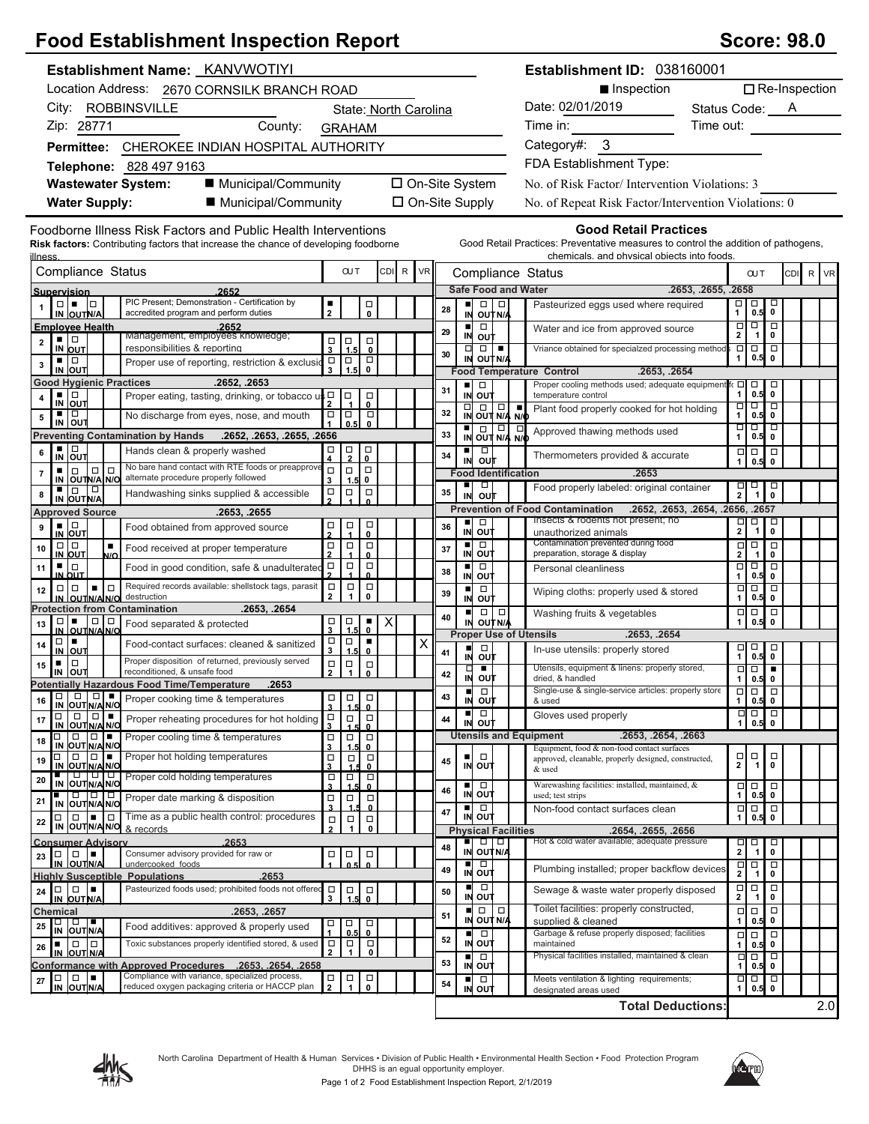## **Food Establishment Inspection Report**

| <b>Score: 98.0</b> |  |
|--------------------|--|
|--------------------|--|

| Establishment Name: KANVWOTIYI                                                                                                                               |                                                 |                                                        |       |                       |    |                                   |                                                                                                                                                                                                                                                                                                                                                                                                         | Establishment ID: 038160001                                                                                        |                           |                                                                                                                       |                                          |                    |  |
|--------------------------------------------------------------------------------------------------------------------------------------------------------------|-------------------------------------------------|--------------------------------------------------------|-------|-----------------------|----|-----------------------------------|---------------------------------------------------------------------------------------------------------------------------------------------------------------------------------------------------------------------------------------------------------------------------------------------------------------------------------------------------------------------------------------------------------|--------------------------------------------------------------------------------------------------------------------|---------------------------|-----------------------------------------------------------------------------------------------------------------------|------------------------------------------|--------------------|--|
| Location Address: 2670 CORNSILK BRANCH ROAD                                                                                                                  |                                                 |                                                        |       |                       |    |                                   |                                                                                                                                                                                                                                                                                                                                                                                                         | ■ Inspection                                                                                                       |                           |                                                                                                                       |                                          | □ Re-Inspection    |  |
| ROBBINSVILLE<br>City:<br>State: North Carolina                                                                                                               |                                                 |                                                        |       |                       |    |                                   |                                                                                                                                                                                                                                                                                                                                                                                                         | Date: 02/01/2019                                                                                                   | Status Code: A            |                                                                                                                       |                                          |                    |  |
| Zip: 28771<br>County:                                                                                                                                        |                                                 | <b>GRAHAM</b>                                          |       |                       |    |                                   |                                                                                                                                                                                                                                                                                                                                                                                                         | Time in:                                                                                                           | Time out:                 |                                                                                                                       |                                          |                    |  |
| Permittee: CHEROKEE INDIAN HOSPITAL AUTHORITY                                                                                                                |                                                 |                                                        |       |                       |    |                                   |                                                                                                                                                                                                                                                                                                                                                                                                         | Category#: 3                                                                                                       |                           |                                                                                                                       |                                          |                    |  |
| Telephone: 828 497 9163                                                                                                                                      |                                                 |                                                        |       |                       |    |                                   |                                                                                                                                                                                                                                                                                                                                                                                                         | FDA Establishment Type:                                                                                            |                           |                                                                                                                       |                                          |                    |  |
| ■ Municipal/Community<br><b>Wastewater System:</b>                                                                                                           |                                                 |                                                        |       |                       |    |                                   | □ On-Site System                                                                                                                                                                                                                                                                                                                                                                                        | No. of Risk Factor/Intervention Violations: 3                                                                      |                           |                                                                                                                       |                                          |                    |  |
| <b>Water Supply:</b><br>■ Municipal/Community                                                                                                                |                                                 |                                                        |       | $\Box$ On-Site Supply |    |                                   |                                                                                                                                                                                                                                                                                                                                                                                                         | No. of Repeat Risk Factor/Intervention Violations: 0                                                               |                           |                                                                                                                       |                                          |                    |  |
|                                                                                                                                                              |                                                 |                                                        |       |                       |    |                                   |                                                                                                                                                                                                                                                                                                                                                                                                         |                                                                                                                    |                           |                                                                                                                       |                                          |                    |  |
| Foodborne Illness Risk Factors and Public Health Interventions<br><b>Risk factors:</b> Contributing factors that increase the chance of developing foodborne |                                                 |                                                        |       |                       |    |                                   |                                                                                                                                                                                                                                                                                                                                                                                                         | <b>Good Retail Practices</b><br>Good Retail Practices: Preventative measures to control the addition of pathogens, |                           |                                                                                                                       |                                          |                    |  |
| illness                                                                                                                                                      |                                                 |                                                        |       |                       |    |                                   |                                                                                                                                                                                                                                                                                                                                                                                                         | chemicals, and physical objects into foods.                                                                        |                           |                                                                                                                       |                                          |                    |  |
| Compliance Status                                                                                                                                            |                                                 | <b>OUT</b>                                             | CDI R | <b>VR</b>             |    |                                   |                                                                                                                                                                                                                                                                                                                                                                                                         | Compliance Status                                                                                                  |                           | <b>CUT</b>                                                                                                            |                                          | R VR<br><b>CDI</b> |  |
| 2652<br><b>Supervision</b><br>PIC Present; Demonstration - Certification by                                                                                  |                                                 |                                                        |       |                       |    |                                   |                                                                                                                                                                                                                                                                                                                                                                                                         | <b>Safe Food and Water</b>                                                                                         | .2653, .2655, .2658       |                                                                                                                       |                                          |                    |  |
| al - la<br>IN OUTN/A<br>accredited program and perform duties                                                                                                | $\overline{2}$                                  | $_\mathrm{o}^\Box$                                     |       |                       | 28 | п<br>IN                           | $\Box$ $\Box$<br>OUT N/A                                                                                                                                                                                                                                                                                                                                                                                | Pasteurized eggs used where required                                                                               | 口<br>1                    | $\Box$<br>0.5                                                                                                         | ᄝ                                        |                    |  |
| <b>Employee Health</b><br>.2652<br>Management, employees knowledge;<br>▪ ▏□                                                                                  |                                                 |                                                        |       |                       | 29 | $\blacksquare$<br>IN              | $\Box$<br>out                                                                                                                                                                                                                                                                                                                                                                                           | Water and ice from approved source                                                                                 | $\Box$<br>$\mathbf 2$     | $\overline{\Box}$<br>$\mathbf{1}$                                                                                     | $\overline{\square}$<br>$\mathbf 0$      |                    |  |
| $\mathbf 2$<br>IN OUT<br>responsibilities & reporting                                                                                                        | $\begin{array}{c}\n\Box \\ 3\n\end{array}$      | $\frac{1}{1.5}$<br>$\Box$<br>$\mathbf 0$               |       |                       | 30 | $\Box$                            | $\Box$<br>$\blacksquare$                                                                                                                                                                                                                                                                                                                                                                                | Vriance obtained for specialzed processing methods                                                                 | $\overline{\square}$<br>1 | $\overline{\Box}$<br>0.5                                                                                              | $\overline{\square}$<br>$\mathbf 0$      |                    |  |
| ш<br>$\Box$<br>Proper use of reporting, restriction & exclusio<br>$\mathbf 3$<br>IN OUT                                                                      | $\Box$<br>$\Box$<br>$\mathbf{3}$                | $\Box$<br>1.5<br>$\mathbf 0$                           |       |                       |    | IN                                | OUT N/A                                                                                                                                                                                                                                                                                                                                                                                                 | <b>Food Temperature Control</b><br>.2653, .2654                                                                    |                           |                                                                                                                       |                                          |                    |  |
| .2652, .2653<br><b>Good Hygienic Practices</b><br>▪ │□                                                                                                       |                                                 |                                                        |       |                       | 31 | ٠                                 | $\Box$                                                                                                                                                                                                                                                                                                                                                                                                  | Proper cooling methods used; adequate equipment<br>temperature control                                             | fc □<br>1                 | $\Box$<br>0.5                                                                                                         | □<br>$\mathbf 0$                         |                    |  |
| Proper eating, tasting, drinking, or tobacco<br>4<br>$IN$ OUT                                                                                                | $\mathsf{u}$ s $\mathsf{u}$<br>$\Box$           | $_{\rm o}^{\Box}$                                      |       |                       | 32 | $\Box$                            | IN OUT<br>$\begin{array}{c c c c} \hline \rule{0pt}{12pt} & \rule{0pt}{12pt} \rule{0pt}{12pt} \rule{0pt}{12pt} & \rule{0pt}{12pt} \rule{0pt}{12pt} \rule{0pt}{12pt} & \rule{0pt}{12pt} \rule{0pt}{12pt} \rule{0pt}{12pt} & \rule{0pt}{12pt} \rule{0pt}{12pt} \rule{0pt}{12pt} & \rule{0pt}{12pt} \rule{0pt}{12pt} \rule{0pt}{12pt} & \rule{0pt}{12pt} \rule{0pt}{12pt} \rule{0pt}{12pt} & \rule{0pt}{1$ | $\blacksquare$<br>Plant food properly cooked for hot holding                                                       | □                         | $\Box$                                                                                                                | $\overline{\blacksquare}$                |                    |  |
| ▪▏□<br>No discharge from eyes, nose, and mouth<br>5<br>IN OUT                                                                                                | □<br>$\Box$                                     | $\Box$<br>0.5<br>$\mathbf{0}$                          |       |                       |    |                                   | IN OUT N/A N/O                                                                                                                                                                                                                                                                                                                                                                                          | Approved thawing methods used                                                                                      | 1<br>o                    | 0.5<br>$\blacksquare$                                                                                                 | $\mathbf 0$<br>ㅁ                         |                    |  |
| <b>Preventing Contamination by Hands</b><br>.2652, .2653, .2655, .2656<br>٠                                                                                  | $\Box$                                          |                                                        |       |                       | 33 |                                   | IN OUT N/A N/O                                                                                                                                                                                                                                                                                                                                                                                          |                                                                                                                    | 1                         | 0.5                                                                                                                   | $\mathbf 0$                              |                    |  |
| ∣а<br> о∪т<br>Hands clean & properly washed<br>6<br>IN<br>No bare hand contact with RTE foods or preapprove                                                  | 4                                               | $\frac{\square}{2}$<br>$\overline{\mathbf{0}}$         |       |                       | 34 | п<br>IN                           | $\Box$<br>out                                                                                                                                                                                                                                                                                                                                                                                           | Thermometers provided & accurate                                                                                   | $\mathbf{1}$              | $\Box$<br>$\Box$<br>0.5                                                                                               | $\Box$<br>$\mathbf{0}$                   |                    |  |
| ∣□<br>$\Box$<br>$\blacksquare$<br>$\Box$<br>$\overline{7}$<br>alternate procedure properly followed<br>IN OUTN/A N/O                                         | $\Box$<br>$\Box$<br>3                           | $\Box$<br>0<br>1.5                                     |       |                       |    | ٠                                 | <b>Food Identification</b><br>$\Box$                                                                                                                                                                                                                                                                                                                                                                    | .2653                                                                                                              |                           |                                                                                                                       |                                          |                    |  |
| IN OUT N/A<br>Handwashing sinks supplied & accessible<br>8                                                                                                   | $\frac{\Box}{2}$                                | $\Box$<br>$\Box$                                       |       |                       | 35 | IN                                | out                                                                                                                                                                                                                                                                                                                                                                                                     | Food properly labeled: original container                                                                          |                           | 罪                                                                                                                     | $\overline{0}$                           |                    |  |
| <b>Approved Source</b><br>.2653, .2655                                                                                                                       |                                                 |                                                        |       |                       |    | ٠                                 | $\Box$                                                                                                                                                                                                                                                                                                                                                                                                  | .2652, .2653, .2654, .2656, .2657<br><b>Prevention of Food Contamination</b><br>Insects & rodents not present; no  |                           | Ξ<br>$\Box$                                                                                                           | $\Box$                                   |                    |  |
| $\frac{1}{N}$ out<br>Food obtained from approved source<br>9                                                                                                 | $\frac{\Box}{4}$<br>口<br>?                      | $\Box$<br>$\mathbf{0}$                                 |       |                       | 36 | IN                                | out                                                                                                                                                                                                                                                                                                                                                                                                     | unauthorized animals                                                                                               |                           | 2 <sup>1</sup><br>$\mathbf{1}$                                                                                        | $\mathbf 0$                              |                    |  |
| $\frac{a}{n}$ out<br>$\blacksquare$<br>10<br>Food received at proper temperature<br>N/O                                                                      | $\frac{\Box}{2}$<br>$\Box$                      | $\Box$<br>$\mathbf{0}$                                 |       |                       | 37 | ٠<br>IN                           | Ξ<br>out                                                                                                                                                                                                                                                                                                                                                                                                | Contamination prevented during food<br>preparation, storage & display                                              | $\mathbf{2}$              | <b>or 0 1</b><br>$\mathbf{1}$                                                                                         | $\Box$<br>$\mathbf 0$                    |                    |  |
| ▪ Ⅰ□<br>Food in good condition, safe & unadulterated<br>11<br>IN OUT                                                                                         | $\Box$<br>$\frac{\Box}{2}$                      | $\Box$<br>$\mathbf{0}$                                 |       |                       | 38 | $\overline{z}$                    | $\Box$<br><b>OUT</b>                                                                                                                                                                                                                                                                                                                                                                                    | Personal cleanliness                                                                                               | 1                         | ा प<br>0.5                                                                                                            | □<br>$\mathbf 0$                         |                    |  |
| Required records available: shellstock tags, parasit<br>$\Box$<br>$\Box   \Box$<br>$\blacksquare$<br>12<br>destruction                                       | $\Box$<br>$\mathbf{2}$                          | $\Box$<br>$\Box$<br>$\overline{1}$<br>$\mathbf{0}$     |       |                       | 39 | ٠                                 | $\Box$<br>out                                                                                                                                                                                                                                                                                                                                                                                           | Wiping cloths: properly used & stored                                                                              | 1                         | $\overline{a}$<br>$\Box$<br>0.5                                                                                       | $\overline{\blacksquare}$<br>$\mathbf 0$ |                    |  |
| IN OUTNANO<br><b>Protection from Contamination</b><br>.2653, .2654                                                                                           |                                                 |                                                        |       |                       |    | IN<br>п                           | $\Box   \Box  $                                                                                                                                                                                                                                                                                                                                                                                         | Washing fruits & vegetables                                                                                        |                           | 0 O                                                                                                                   | $\Box$                                   |                    |  |
| $\begin{array}{c c c c c} \hline \Box & \blacksquare & \Box & \Box \\ \hline \text{IN} & \text{OUTN/A N/O} \end{array}$<br>Food separated & protected<br>13  | $\begin{array}{c}\n\Box \\ 3\n\end{array}$      | $\vert_{1.5}^{\square}$<br>$\overline{\phantom{0}}$    | Χ     |                       | 40 | IN                                | OUT N/A                                                                                                                                                                                                                                                                                                                                                                                                 | <b>Proper Use of Utensils</b><br>.2653, .2654                                                                      | $\mathbf{1}$              | 0.5                                                                                                                   | $\mathbf 0$                              |                    |  |
| $\Box \vdash$<br>Food-contact surfaces: cleaned & sanitized<br>14<br>$IN$ OUT                                                                                | $\Box$<br>$\mathbf{3}$                          | $\Box$<br>٠<br>1.5<br>$\mathbf{0}$                     |       | X                     | 41 | п                                 | $\Box$                                                                                                                                                                                                                                                                                                                                                                                                  | In-use utensils: properly stored                                                                                   |                           | $\begin{array}{c} \n\Box \\ \Box \\ \Box\n\end{array}$                                                                | $\Box$                                   |                    |  |
| Proper disposition of returned, previously served<br>$\Box$<br>٠<br>15                                                                                       | $\Box$                                          | $\begin{array}{c}\n\Box \\ 1\n\end{array}$<br>$\Box$   |       |                       |    | IN                                | out<br>$\blacksquare$                                                                                                                                                                                                                                                                                                                                                                                   | Utensils, equipment & linens: properly stored,                                                                     |                           | 0.5<br>$\Box$                                                                                                         | $\mathbf 0$<br>т                         |                    |  |
| reconditioned, & unsafe food<br>IN OUT<br>Potentially Hazardous Food Time/Temperature<br>.2653                                                               | $\overline{2}$                                  | $\mathbf{0}$                                           |       |                       | 42 | $\frac{\Box}{\Box}$               | ουτ                                                                                                                                                                                                                                                                                                                                                                                                     | dried, & handled                                                                                                   | 1                         | 0.5                                                                                                                   | $\mathbf 0$                              |                    |  |
| $\Box   \Box   \blacksquare$<br>$\Box$<br>Proper cooking time & temperatures<br>16<br>IN OUT N/A N/O                                                         | о<br>$\overline{\mathbf{3}}$                    | $\Box$<br>$\Box$                                       |       |                       | 43 |                                   | $\overline{\Box}$<br>IN OUT                                                                                                                                                                                                                                                                                                                                                                             | Single-use & single-service articles: properly store<br>& used                                                     |                           | $\overline{\square}$<br>$\begin{array}{ c c c }\hline \Box & \Box & \Box \\ \hline 1 & 0.5 & 0 \\ \hline \end{array}$ |                                          |                    |  |
| $\Box$<br>▏□▎■<br>$\Box$<br>Proper reheating procedures for hot holding<br>17<br>IN OUT N/A N/C                                                              | $\Box$<br>3                                     | 1.5<br>$\mathbf{0}$<br>$\Box$<br>$\Box$<br>$\mathbf 0$ |       |                       | 44 | $\blacksquare$<br>IN              | $\Box$<br>ουτ                                                                                                                                                                                                                                                                                                                                                                                           | Gloves used properly                                                                                               |                           | 70.5                                                                                                                  |                                          |                    |  |
| $\Box$ $\Box$<br>Proper cooling time & temperatures<br>□<br>18                                                                                               | $\mathop{\square}\limits_{3}$                   | $\Box$<br>$\Box$                                       |       |                       |    |                                   |                                                                                                                                                                                                                                                                                                                                                                                                         | <b>Utensils and Equipment</b><br>.2653, .2654, .2663                                                               |                           |                                                                                                                       |                                          |                    |  |
| OUT N/A N/O<br>IN<br>Proper hot holding temperatures<br>П<br>19                                                                                              | $\Box$                                          | 1.5<br>0<br>$\Box$<br>$\Box$                           |       |                       | 45 |                                   | □                                                                                                                                                                                                                                                                                                                                                                                                       | Equipment, food & non-food contact surfaces<br>approved, cleanable, properly designed, constructed,                |                           | $\Box$<br>$\Box$                                                                                                      | $\Box$                                   |                    |  |
| IN OUT N/A N/O<br>000<br>Proper cold holding temperatures<br>20                                                                                              | 3<br>$\begin{array}{c}\n\Box \\ 3\n\end{array}$ | 0<br>$\Box$<br>$\Box$                                  |       |                       |    |                                   | IN OUT                                                                                                                                                                                                                                                                                                                                                                                                  | & used                                                                                                             | 2                         | $\mathbf{1}$                                                                                                          | $\mathbf 0$                              |                    |  |
| IN OUTN/A N/O<br>07010<br>Proper date marking & disposition                                                                                                  | $\Box$                                          | 1.5<br>$\mathbf{0}$<br>$\Box$<br>$\Box$                |       |                       | 46 | ٠                                 | $\Box$<br>IN OUT                                                                                                                                                                                                                                                                                                                                                                                        | Warewashing facilities: installed, maintained, &<br>used; test strips                                              | 1                         | 0 D<br>0.5                                                                                                            | $\Box$<br>$\mathbf 0$                    |                    |  |
| 21<br>IN OUT N/A N/O<br>Time as a public health control: procedures<br>  □<br>I۰.<br>$\Box$<br>$\Box$                                                        | 3                                               | $\mathbf{0}$                                           |       |                       | 47 |                                   | $\Box$<br>IN OUT                                                                                                                                                                                                                                                                                                                                                                                        | Non-food contact surfaces clean                                                                                    |                           | $\Box   \Box  $                                                                                                       | $\Box$                                   |                    |  |
| 22<br>IN OUTNA NO<br>& records                                                                                                                               | $\Box$<br>$\overline{2}$                        | $\Box$<br>$\Box$<br>1<br>0                             |       |                       |    |                                   | <b>Physical Facilities</b>                                                                                                                                                                                                                                                                                                                                                                              | .2654, .2655, .2656                                                                                                | 1                         | 0.5                                                                                                                   | $\pmb{0}$                                |                    |  |
| .2653<br><b>Consumer Advisory</b><br>Consumer advisory provided for raw or                                                                                   |                                                 |                                                        |       |                       | 48 | ٠                                 | $\Box$<br>IN OUT N/A                                                                                                                                                                                                                                                                                                                                                                                    | Hot & cold water available; adequate pressure                                                                      | $\overline{\mathbf{2}}$   | 미ㅁ<br>$\mathbf{1}$                                                                                                    | p<br>$\mathbf 0$                         |                    |  |
| $\Box   \Box   =$<br>23<br>IN OUTNA<br>undercooked foods                                                                                                     | $\Box$<br>$\Box$                                | $\Box$<br>0.5<br>$\Omega$                              |       |                       | 49 | п                                 | $\Box$                                                                                                                                                                                                                                                                                                                                                                                                  | Plumbing installed; proper backflow devices                                                                        |                           | $\overline{\mathbf{r}}$<br>$\Box$                                                                                     | p                                        |                    |  |
| .2653<br><b>Highly Susceptible Populations</b><br>Pasteurized foods used; prohibited foods not offered<br>24 $\Box$                                          |                                                 |                                                        |       |                       |    |                                   | IN OUT                                                                                                                                                                                                                                                                                                                                                                                                  |                                                                                                                    | Ο                         | 1<br>$\Box$                                                                                                           | $\mathbf 0$<br>$\Box$                    |                    |  |
| IN OUT N/A                                                                                                                                                   | $\frac{\Box}{3}$                                | $\Box$<br>$_{\rm o}^{\Box}$<br>1.5                     |       |                       | 50 |                                   | ■<br>IN OUT                                                                                                                                                                                                                                                                                                                                                                                             | Sewage & waste water properly disposed                                                                             | $\mathbf{2}$              | $\mathbf{1}$                                                                                                          | $\pmb{0}$                                |                    |  |
| .2653, .2657<br><b>Chemical</b><br>0   0   1<br>25<br>Food additives: approved & properly used                                                               | о<br>$\Box$                                     | Д                                                      |       |                       | 51 | п                                 | $\Box$<br>$\Box$<br>IN OUT N/A                                                                                                                                                                                                                                                                                                                                                                          | Toilet facilities: properly constructed,<br>supplied & cleaned                                                     | 1                         | $\Box$<br>0.5                                                                                                         | $\Box$<br>0                              |                    |  |
| IN OUTN/A<br>Toxic substances properly identified stored, & used<br>$\blacksquare$ $\blacksquare$ $\blacksquare$                                             | $\Box$                                          | 0.5<br>$\mathbf 0$<br>$\Box$<br>$\Box$                 |       |                       | 52 | п                                 | $\Box$<br>IN OUT                                                                                                                                                                                                                                                                                                                                                                                        | Garbage & refuse properly disposed; facilities<br>maintained                                                       | $\mathbf{1}$              | $\Box$<br>$\Box$<br>0.5                                                                                               | $\Box$<br>$\mathbf 0$                    |                    |  |
| 26<br>IN OUT N/A                                                                                                                                             | $\mathbf{2}$                                    | $\mathbf{1}$<br>$\pmb{0}$                              |       |                       | 53 | п                                 | $\Box$                                                                                                                                                                                                                                                                                                                                                                                                  | Physical facilities installed, maintained & clean                                                                  |                           | $\Box$<br>$\Box$                                                                                                      | p                                        |                    |  |
| Conformance with Approved Procedures .2653. .2654. .2658<br>Compliance with variance, specialized process,<br>27                                             |                                                 |                                                        |       |                       |    | $\ensuremath{\mathsf{IN}}\xspace$ | out                                                                                                                                                                                                                                                                                                                                                                                                     | Meets ventilation & lighting requirements;                                                                         | 1                         | 0.5<br>미모                                                                                                             | 0<br>$\Box$                              |                    |  |
| IN OUTN/A<br>reduced oxygen packaging criteria or HACCP plan                                                                                                 | $\frac{\Box}{2}$                                | $\frac{\square}{1}$<br>$\overline{\phantom{0}}^0$      |       |                       | 54 |                                   | $\frac{1}{N}$ out                                                                                                                                                                                                                                                                                                                                                                                       | designated areas used                                                                                              | 1                         | 0.5                                                                                                                   | 0                                        |                    |  |





**Total Deductions:**

2.0